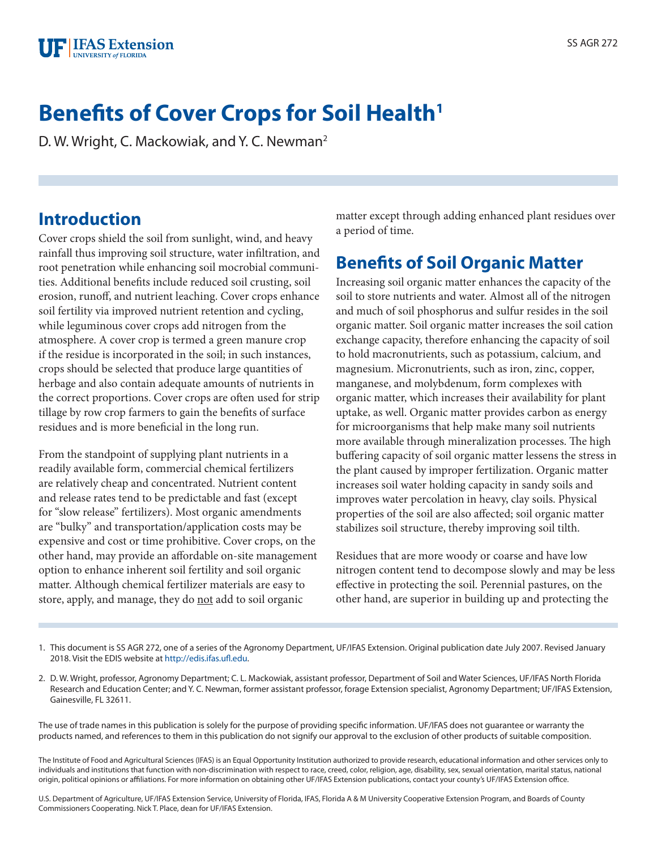

# **Benefits of Cover Crops for Soil Health**

D. W. Wright, C. Mackowiak, and Y. C. Newman<sup>2</sup>

#### **Introduction**

Cover crops shield the soil from sunlight, wind, and heavy rainfall thus improving soil structure, water infiltration, and root penetration while enhancing soil mocrobial communities. Additional benefits include reduced soil crusting, soil erosion, runoff, and nutrient leaching. Cover crops enhance soil fertility via improved nutrient retention and cycling, while leguminous cover crops add nitrogen from the atmosphere. A cover crop is termed a green manure crop if the residue is incorporated in the soil; in such instances, crops should be selected that produce large quantities of herbage and also contain adequate amounts of nutrients in the correct proportions. Cover crops are often used for strip tillage by row crop farmers to gain the benefits of surface residues and is more beneficial in the long run.

From the standpoint of supplying plant nutrients in a readily available form, commercial chemical fertilizers are relatively cheap and concentrated. Nutrient content and release rates tend to be predictable and fast (except for "slow release" fertilizers). Most organic amendments are "bulky" and transportation/application costs may be expensive and cost or time prohibitive. Cover crops, on the other hand, may provide an affordable on-site management option to enhance inherent soil fertility and soil organic matter. Although chemical fertilizer materials are easy to store, apply, and manage, they do not add to soil organic

matter except through adding enhanced plant residues over a period of time.

#### **Benefits of Soil Organic Matter**

Increasing soil organic matter enhances the capacity of the soil to store nutrients and water. Almost all of the nitrogen and much of soil phosphorus and sulfur resides in the soil organic matter. Soil organic matter increases the soil cation exchange capacity, therefore enhancing the capacity of soil to hold macronutrients, such as potassium, calcium, and magnesium. Micronutrients, such as iron, zinc, copper, manganese, and molybdenum, form complexes with organic matter, which increases their availability for plant uptake, as well. Organic matter provides carbon as energy for microorganisms that help make many soil nutrients more available through mineralization processes. The high buffering capacity of soil organic matter lessens the stress in the plant caused by improper fertilization. Organic matter increases soil water holding capacity in sandy soils and improves water percolation in heavy, clay soils. Physical properties of the soil are also affected; soil organic matter stabilizes soil structure, thereby improving soil tilth.

Residues that are more woody or coarse and have low nitrogen content tend to decompose slowly and may be less effective in protecting the soil. Perennial pastures, on the other hand, are superior in building up and protecting the

The use of trade names in this publication is solely for the purpose of providing specific information. UF/IFAS does not guarantee or warranty the products named, and references to them in this publication do not signify our approval to the exclusion of other products of suitable composition.

The Institute of Food and Agricultural Sciences (IFAS) is an Equal Opportunity Institution authorized to provide research, educational information and other services only to individuals and institutions that function with non-discrimination with respect to race, creed, color, religion, age, disability, sex, sexual orientation, marital status, national origin, political opinions or affiliations. For more information on obtaining other UF/IFAS Extension publications, contact your county's UF/IFAS Extension office.

U.S. Department of Agriculture, UF/IFAS Extension Service, University of Florida, IFAS, Florida A & M University Cooperative Extension Program, and Boards of County Commissioners Cooperating. Nick T. Place, dean for UF/IFAS Extension.

<sup>1.</sup> This document is SS AGR 272, one of a series of the Agronomy Department, UF/IFAS Extension. Original publication date July 2007. Revised January 2018. Visit the EDIS website at [http://edis.ifas.ufl.edu.](http://edis.ifas.ufl.edu)

<sup>2.</sup> D. W. Wright, professor, Agronomy Department; C. L. Mackowiak, assistant professor, Department of Soil and Water Sciences, UF/IFAS North Florida Research and Education Center; and Y. C. Newman, former assistant professor, forage Extension specialist, Agronomy Department; UF/IFAS Extension, Gainesville, FL 32611.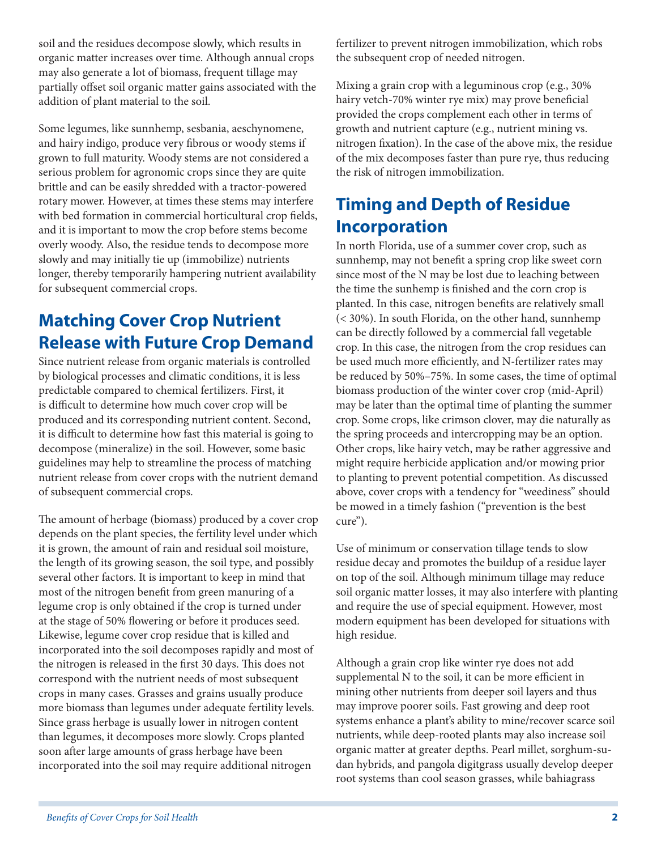soil and the residues decompose slowly, which results in organic matter increases over time. Although annual crops may also generate a lot of biomass, frequent tillage may partially offset soil organic matter gains associated with the addition of plant material to the soil.

Some legumes, like sunnhemp, sesbania, aeschynomene, and hairy indigo, produce very fibrous or woody stems if grown to full maturity. Woody stems are not considered a serious problem for agronomic crops since they are quite brittle and can be easily shredded with a tractor-powered rotary mower. However, at times these stems may interfere with bed formation in commercial horticultural crop fields, and it is important to mow the crop before stems become overly woody. Also, the residue tends to decompose more slowly and may initially tie up (immobilize) nutrients longer, thereby temporarily hampering nutrient availability for subsequent commercial crops.

# **Matching Cover Crop Nutrient Release with Future Crop Demand**

Since nutrient release from organic materials is controlled by biological processes and climatic conditions, it is less predictable compared to chemical fertilizers. First, it is difficult to determine how much cover crop will be produced and its corresponding nutrient content. Second, it is difficult to determine how fast this material is going to decompose (mineralize) in the soil. However, some basic guidelines may help to streamline the process of matching nutrient release from cover crops with the nutrient demand of subsequent commercial crops.

The amount of herbage (biomass) produced by a cover crop depends on the plant species, the fertility level under which it is grown, the amount of rain and residual soil moisture, the length of its growing season, the soil type, and possibly several other factors. It is important to keep in mind that most of the nitrogen benefit from green manuring of a legume crop is only obtained if the crop is turned under at the stage of 50% flowering or before it produces seed. Likewise, legume cover crop residue that is killed and incorporated into the soil decomposes rapidly and most of the nitrogen is released in the first 30 days. This does not correspond with the nutrient needs of most subsequent crops in many cases. Grasses and grains usually produce more biomass than legumes under adequate fertility levels. Since grass herbage is usually lower in nitrogen content than legumes, it decomposes more slowly. Crops planted soon after large amounts of grass herbage have been incorporated into the soil may require additional nitrogen

fertilizer to prevent nitrogen immobilization, which robs the subsequent crop of needed nitrogen.

Mixing a grain crop with a leguminous crop (e.g., 30% hairy vetch-70% winter rye mix) may prove beneficial provided the crops complement each other in terms of growth and nutrient capture (e.g., nutrient mining vs. nitrogen fixation). In the case of the above mix, the residue of the mix decomposes faster than pure rye, thus reducing the risk of nitrogen immobilization.

# **Timing and Depth of Residue Incorporation**

In north Florida, use of a summer cover crop, such as sunnhemp, may not benefit a spring crop like sweet corn since most of the N may be lost due to leaching between the time the sunhemp is finished and the corn crop is planted. In this case, nitrogen benefits are relatively small (< 30%). In south Florida, on the other hand, sunnhemp can be directly followed by a commercial fall vegetable crop. In this case, the nitrogen from the crop residues can be used much more efficiently, and N-fertilizer rates may be reduced by 50%–75%. In some cases, the time of optimal biomass production of the winter cover crop (mid-April) may be later than the optimal time of planting the summer crop. Some crops, like crimson clover, may die naturally as the spring proceeds and intercropping may be an option. Other crops, like hairy vetch, may be rather aggressive and might require herbicide application and/or mowing prior to planting to prevent potential competition. As discussed above, cover crops with a tendency for "weediness" should be mowed in a timely fashion ("prevention is the best cure").

Use of minimum or conservation tillage tends to slow residue decay and promotes the buildup of a residue layer on top of the soil. Although minimum tillage may reduce soil organic matter losses, it may also interfere with planting and require the use of special equipment. However, most modern equipment has been developed for situations with high residue.

Although a grain crop like winter rye does not add supplemental N to the soil, it can be more efficient in mining other nutrients from deeper soil layers and thus may improve poorer soils. Fast growing and deep root systems enhance a plant's ability to mine/recover scarce soil nutrients, while deep-rooted plants may also increase soil organic matter at greater depths. Pearl millet, sorghum-sudan hybrids, and pangola digitgrass usually develop deeper root systems than cool season grasses, while bahiagrass